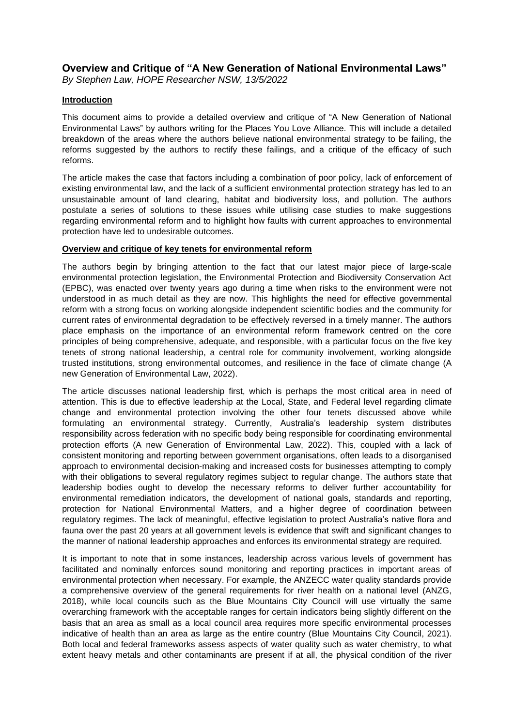# **Overview and Critique of "A New Generation of National Environmental Laws"**

*By Stephen Law, HOPE Researcher NSW, 13/5/2022*

## **Introduction**

This document aims to provide a detailed overview and critique of "A New Generation of National Environmental Laws" by authors writing for the Places You Love Alliance. This will include a detailed breakdown of the areas where the authors believe national environmental strategy to be failing, the reforms suggested by the authors to rectify these failings, and a critique of the efficacy of such reforms.

The article makes the case that factors including a combination of poor policy, lack of enforcement of existing environmental law, and the lack of a sufficient environmental protection strategy has led to an unsustainable amount of land clearing, habitat and biodiversity loss, and pollution. The authors postulate a series of solutions to these issues while utilising case studies to make suggestions regarding environmental reform and to highlight how faults with current approaches to environmental protection have led to undesirable outcomes.

## **Overview and critique of key tenets for environmental reform**

The authors begin by bringing attention to the fact that our latest major piece of large-scale environmental protection legislation, the Environmental Protection and Biodiversity Conservation Act (EPBC), was enacted over twenty years ago during a time when risks to the environment were not understood in as much detail as they are now. This highlights the need for effective governmental reform with a strong focus on working alongside independent scientific bodies and the community for current rates of environmental degradation to be effectively reversed in a timely manner. The authors place emphasis on the importance of an environmental reform framework centred on the core principles of being comprehensive, adequate, and responsible, with a particular focus on the five key tenets of strong national leadership, a central role for community involvement, working alongside trusted institutions, strong environmental outcomes, and resilience in the face of climate change (A new Generation of Environmental Law, 2022).

The article discusses national leadership first, which is perhaps the most critical area in need of attention. This is due to effective leadership at the Local, State, and Federal level regarding climate change and environmental protection involving the other four tenets discussed above while formulating an environmental strategy. Currently, Australia's leadership system distributes responsibility across federation with no specific body being responsible for coordinating environmental protection efforts (A new Generation of Environmental Law, 2022). This, coupled with a lack of consistent monitoring and reporting between government organisations, often leads to a disorganised approach to environmental decision-making and increased costs for businesses attempting to comply with their obligations to several regulatory regimes subject to regular change. The authors state that leadership bodies ought to develop the necessary reforms to deliver further accountability for environmental remediation indicators, the development of national goals, standards and reporting, protection for National Environmental Matters, and a higher degree of coordination between regulatory regimes. The lack of meaningful, effective legislation to protect Australia's native flora and fauna over the past 20 years at all government levels is evidence that swift and significant changes to the manner of national leadership approaches and enforces its environmental strategy are required.

It is important to note that in some instances, leadership across various levels of government has facilitated and nominally enforces sound monitoring and reporting practices in important areas of environmental protection when necessary. For example, the ANZECC water quality standards provide a comprehensive overview of the general requirements for river health on a national level (ANZG, 2018), while local councils such as the Blue Mountains City Council will use virtually the same overarching framework with the acceptable ranges for certain indicators being slightly different on the basis that an area as small as a local council area requires more specific environmental processes indicative of health than an area as large as the entire country (Blue Mountains City Council, 2021). Both local and federal frameworks assess aspects of water quality such as water chemistry, to what extent heavy metals and other contaminants are present if at all, the physical condition of the river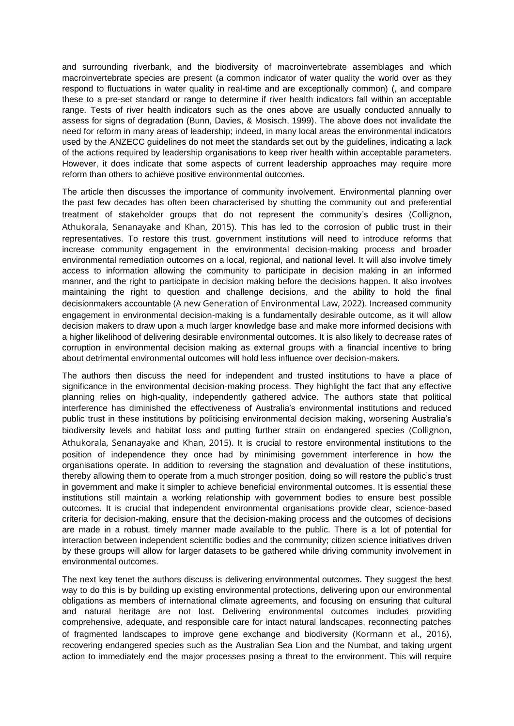and surrounding riverbank, and the biodiversity of macroinvertebrate assemblages and which macroinvertebrate species are present (a common indicator of water quality the world over as they respond to fluctuations in water quality in real-time and are exceptionally common) (, and compare these to a pre-set standard or range to determine if river health indicators fall within an acceptable range. Tests of river health indicators such as the ones above are usually conducted annually to assess for signs of degradation (Bunn, Davies, & Mosisch, 1999). The above does not invalidate the need for reform in many areas of leadership; indeed, in many local areas the environmental indicators used by the ANZECC guidelines do not meet the standards set out by the guidelines, indicating a lack of the actions required by leadership organisations to keep river health within acceptable parameters. However, it does indicate that some aspects of current leadership approaches may require more reform than others to achieve positive environmental outcomes.

The article then discusses the importance of community involvement. Environmental planning over the past few decades has often been characterised by shutting the community out and preferential treatment of stakeholder groups that do not represent the community's desires (Collignon, Athukorala, Senanayake and Khan, 2015). This has led to the corrosion of public trust in their representatives. To restore this trust, government institutions will need to introduce reforms that increase community engagement in the environmental decision-making process and broader environmental remediation outcomes on a local, regional, and national level. It will also involve timely access to information allowing the community to participate in decision making in an informed manner, and the right to participate in decision making before the decisions happen. It also involves maintaining the right to question and challenge decisions, and the ability to hold the final decisionmakers accountable (A new Generation of Environmental Law, 2022). Increased community engagement in environmental decision-making is a fundamentally desirable outcome, as it will allow decision makers to draw upon a much larger knowledge base and make more informed decisions with a higher likelihood of delivering desirable environmental outcomes. It is also likely to decrease rates of corruption in environmental decision making as external groups with a financial incentive to bring about detrimental environmental outcomes will hold less influence over decision-makers.

The authors then discuss the need for independent and trusted institutions to have a place of significance in the environmental decision-making process. They highlight the fact that any effective planning relies on high-quality, independently gathered advice. The authors state that political interference has diminished the effectiveness of Australia's environmental institutions and reduced public trust in these institutions by politicising environmental decision making, worsening Australia's biodiversity levels and habitat loss and putting further strain on endangered species (Collignon, Athukorala, Senanayake and Khan, 2015). It is crucial to restore environmental institutions to the position of independence they once had by minimising government interference in how the organisations operate. In addition to reversing the stagnation and devaluation of these institutions, thereby allowing them to operate from a much stronger position, doing so will restore the public's trust in government and make it simpler to achieve beneficial environmental outcomes. It is essential these institutions still maintain a working relationship with government bodies to ensure best possible outcomes. It is crucial that independent environmental organisations provide clear, science-based criteria for decision-making, ensure that the decision-making process and the outcomes of decisions are made in a robust, timely manner made available to the public. There is a lot of potential for interaction between independent scientific bodies and the community; citizen science initiatives driven by these groups will allow for larger datasets to be gathered while driving community involvement in environmental outcomes.

The next key tenet the authors discuss is delivering environmental outcomes. They suggest the best way to do this is by building up existing environmental protections, delivering upon our environmental obligations as members of international climate agreements, and focusing on ensuring that cultural and natural heritage are not lost. Delivering environmental outcomes includes providing comprehensive, adequate, and responsible care for intact natural landscapes, reconnecting patches of fragmented landscapes to improve gene exchange and biodiversity (Kormann et al., 2016), recovering endangered species such as the Australian Sea Lion and the Numbat, and taking urgent action to immediately end the major processes posing a threat to the environment. This will require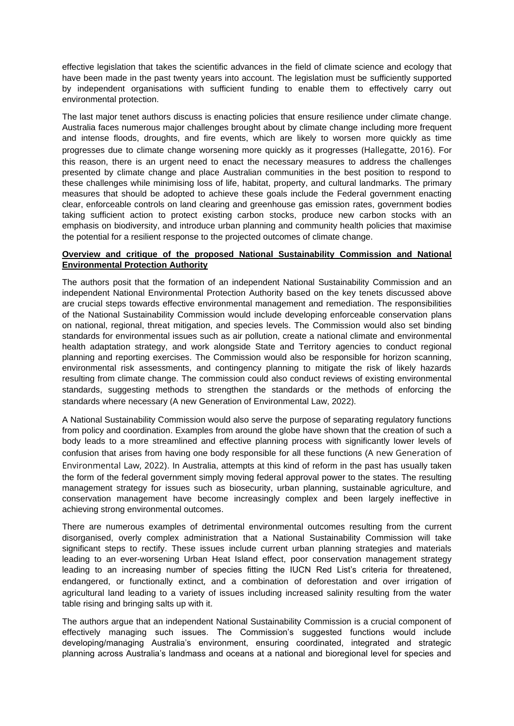effective legislation that takes the scientific advances in the field of climate science and ecology that have been made in the past twenty years into account. The legislation must be sufficiently supported by independent organisations with sufficient funding to enable them to effectively carry out environmental protection.

The last major tenet authors discuss is enacting policies that ensure resilience under climate change. Australia faces numerous major challenges brought about by climate change including more frequent and intense floods, droughts, and fire events, which are likely to worsen more quickly as time progresses due to climate change worsening more quickly as it progresses (Hallegatte, 2016). For this reason, there is an urgent need to enact the necessary measures to address the challenges presented by climate change and place Australian communities in the best position to respond to these challenges while minimising loss of life, habitat, property, and cultural landmarks. The primary measures that should be adopted to achieve these goals include the Federal government enacting clear, enforceable controls on land clearing and greenhouse gas emission rates, government bodies taking sufficient action to protect existing carbon stocks, produce new carbon stocks with an emphasis on biodiversity, and introduce urban planning and community health policies that maximise the potential for a resilient response to the projected outcomes of climate change.

## **Overview and critique of the proposed National Sustainability Commission and National Environmental Protection Authority**

The authors posit that the formation of an independent National Sustainability Commission and an independent National Environmental Protection Authority based on the key tenets discussed above are crucial steps towards effective environmental management and remediation. The responsibilities of the National Sustainability Commission would include developing enforceable conservation plans on national, regional, threat mitigation, and species levels. The Commission would also set binding standards for environmental issues such as air pollution, create a national climate and environmental health adaptation strategy, and work alongside State and Territory agencies to conduct regional planning and reporting exercises. The Commission would also be responsible for horizon scanning, environmental risk assessments, and contingency planning to mitigate the risk of likely hazards resulting from climate change. The commission could also conduct reviews of existing environmental standards, suggesting methods to strengthen the standards or the methods of enforcing the standards where necessary (A new Generation of Environmental Law, 2022).

A National Sustainability Commission would also serve the purpose of separating regulatory functions from policy and coordination. Examples from around the globe have shown that the creation of such a body leads to a more streamlined and effective planning process with significantly lower levels of confusion that arises from having one body responsible for all these functions (A new Generation of Environmental Law, 2022). In Australia, attempts at this kind of reform in the past has usually taken the form of the federal government simply moving federal approval power to the states. The resulting management strategy for issues such as biosecurity, urban planning, sustainable agriculture, and conservation management have become increasingly complex and been largely ineffective in achieving strong environmental outcomes.

There are numerous examples of detrimental environmental outcomes resulting from the current disorganised, overly complex administration that a National Sustainability Commission will take significant steps to rectify. These issues include current urban planning strategies and materials leading to an ever-worsening Urban Heat Island effect, poor conservation management strategy leading to an increasing number of species fitting the IUCN Red List's criteria for threatened, endangered, or functionally extinct, and a combination of deforestation and over irrigation of agricultural land leading to a variety of issues including increased salinity resulting from the water table rising and bringing salts up with it.

The authors argue that an independent National Sustainability Commission is a crucial component of effectively managing such issues. The Commission's suggested functions would include developing/managing Australia's environment, ensuring coordinated, integrated and strategic planning across Australia's landmass and oceans at a national and bioregional level for species and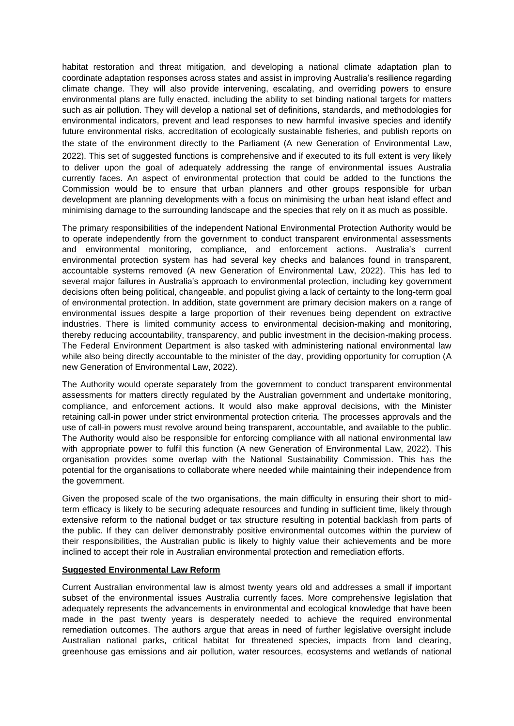habitat restoration and threat mitigation, and developing a national climate adaptation plan to coordinate adaptation responses across states and assist in improving Australia's resilience regarding climate change. They will also provide intervening, escalating, and overriding powers to ensure environmental plans are fully enacted, including the ability to set binding national targets for matters such as air pollution. They will develop a national set of definitions, standards, and methodologies for environmental indicators, prevent and lead responses to new harmful invasive species and identify future environmental risks, accreditation of ecologically sustainable fisheries, and publish reports on the state of the environment directly to the Parliament (A new Generation of Environmental Law, 2022). This set of suggested functions is comprehensive and if executed to its full extent is very likely to deliver upon the goal of adequately addressing the range of environmental issues Australia currently faces. An aspect of environmental protection that could be added to the functions the Commission would be to ensure that urban planners and other groups responsible for urban development are planning developments with a focus on minimising the urban heat island effect and minimising damage to the surrounding landscape and the species that rely on it as much as possible.

The primary responsibilities of the independent National Environmental Protection Authority would be to operate independently from the government to conduct transparent environmental assessments and environmental monitoring, compliance, and enforcement actions. Australia's current environmental protection system has had several key checks and balances found in transparent, accountable systems removed (A new Generation of Environmental Law, 2022). This has led to several major failures in Australia's approach to environmental protection, including key government decisions often being political, changeable, and populist giving a lack of certainty to the long-term goal of environmental protection. In addition, state government are primary decision makers on a range of environmental issues despite a large proportion of their revenues being dependent on extractive industries. There is limited community access to environmental decision-making and monitoring, thereby reducing accountability, transparency, and public investment in the decision-making process. The Federal Environment Department is also tasked with administering national environmental law while also being directly accountable to the minister of the day, providing opportunity for corruption (A new Generation of Environmental Law, 2022).

The Authority would operate separately from the government to conduct transparent environmental assessments for matters directly regulated by the Australian government and undertake monitoring, compliance, and enforcement actions. It would also make approval decisions, with the Minister retaining call-in power under strict environmental protection criteria. The processes approvals and the use of call-in powers must revolve around being transparent, accountable, and available to the public. The Authority would also be responsible for enforcing compliance with all national environmental law with appropriate power to fulfil this function (A new Generation of Environmental Law, 2022). This organisation provides some overlap with the National Sustainability Commission. This has the potential for the organisations to collaborate where needed while maintaining their independence from the government.

Given the proposed scale of the two organisations, the main difficulty in ensuring their short to midterm efficacy is likely to be securing adequate resources and funding in sufficient time, likely through extensive reform to the national budget or tax structure resulting in potential backlash from parts of the public. If they can deliver demonstrably positive environmental outcomes within the purview of their responsibilities, the Australian public is likely to highly value their achievements and be more inclined to accept their role in Australian environmental protection and remediation efforts.

## **Suggested Environmental Law Reform**

Current Australian environmental law is almost twenty years old and addresses a small if important subset of the environmental issues Australia currently faces. More comprehensive legislation that adequately represents the advancements in environmental and ecological knowledge that have been made in the past twenty years is desperately needed to achieve the required environmental remediation outcomes. The authors argue that areas in need of further legislative oversight include Australian national parks, critical habitat for threatened species, impacts from land clearing, greenhouse gas emissions and air pollution, water resources, ecosystems and wetlands of national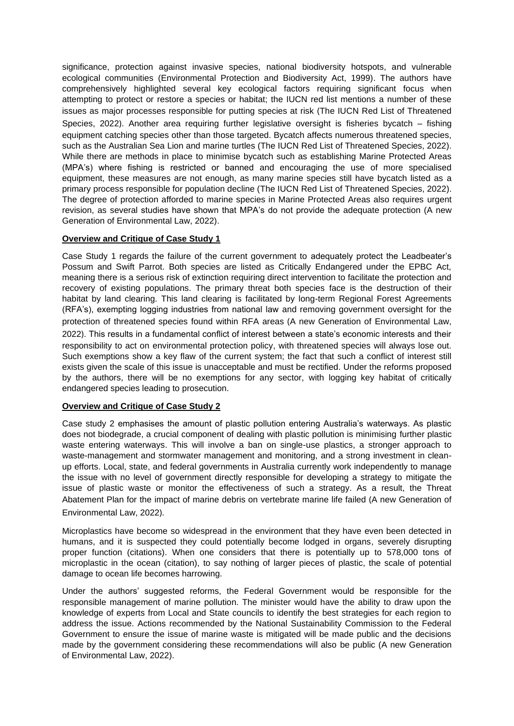significance, protection against invasive species, national biodiversity hotspots, and vulnerable ecological communities (Environmental Protection and Biodiversity Act, 1999). The authors have comprehensively highlighted several key ecological factors requiring significant focus when attempting to protect or restore a species or habitat; the IUCN red list mentions a number of these issues as major processes responsible for putting species at risk (The IUCN Red List of Threatened Species, 2022). Another area requiring further legislative oversight is fisheries bycatch – fishing equipment catching species other than those targeted. Bycatch affects numerous threatened species, such as the Australian Sea Lion and marine turtles (The IUCN Red List of Threatened Species, 2022). While there are methods in place to minimise bycatch such as establishing Marine Protected Areas (MPA's) where fishing is restricted or banned and encouraging the use of more specialised equipment, these measures are not enough, as many marine species still have bycatch listed as a primary process responsible for population decline (The IUCN Red List of Threatened Species, 2022). The degree of protection afforded to marine species in Marine Protected Areas also requires urgent revision, as several studies have shown that MPA's do not provide the adequate protection (A new Generation of Environmental Law, 2022).

# **Overview and Critique of Case Study 1**

Case Study 1 regards the failure of the current government to adequately protect the Leadbeater's Possum and Swift Parrot. Both species are listed as Critically Endangered under the EPBC Act, meaning there is a serious risk of extinction requiring direct intervention to facilitate the protection and recovery of existing populations. The primary threat both species face is the destruction of their habitat by land clearing. This land clearing is facilitated by long-term Regional Forest Agreements (RFA's), exempting logging industries from national law and removing government oversight for the protection of threatened species found within RFA areas (A new Generation of Environmental Law, 2022). This results in a fundamental conflict of interest between a state's economic interests and their responsibility to act on environmental protection policy, with threatened species will always lose out. Such exemptions show a key flaw of the current system; the fact that such a conflict of interest still exists given the scale of this issue is unacceptable and must be rectified. Under the reforms proposed by the authors, there will be no exemptions for any sector, with logging key habitat of critically endangered species leading to prosecution.

## **Overview and Critique of Case Study 2**

Case study 2 emphasises the amount of plastic pollution entering Australia's waterways. As plastic does not biodegrade, a crucial component of dealing with plastic pollution is minimising further plastic waste entering waterways. This will involve a ban on single-use plastics, a stronger approach to waste-management and stormwater management and monitoring, and a strong investment in cleanup efforts. Local, state, and federal governments in Australia currently work independently to manage the issue with no level of government directly responsible for developing a strategy to mitigate the issue of plastic waste or monitor the effectiveness of such a strategy. As a result, the Threat Abatement Plan for the impact of marine debris on vertebrate marine life failed (A new Generation of Environmental Law, 2022).

Microplastics have become so widespread in the environment that they have even been detected in humans, and it is suspected they could potentially become lodged in organs, severely disrupting proper function (citations). When one considers that there is potentially up to 578,000 tons of microplastic in the ocean (citation), to say nothing of larger pieces of plastic, the scale of potential damage to ocean life becomes harrowing.

Under the authors' suggested reforms, the Federal Government would be responsible for the responsible management of marine pollution. The minister would have the ability to draw upon the knowledge of experts from Local and State councils to identify the best strategies for each region to address the issue. Actions recommended by the National Sustainability Commission to the Federal Government to ensure the issue of marine waste is mitigated will be made public and the decisions made by the government considering these recommendations will also be public (A new Generation of Environmental Law, 2022).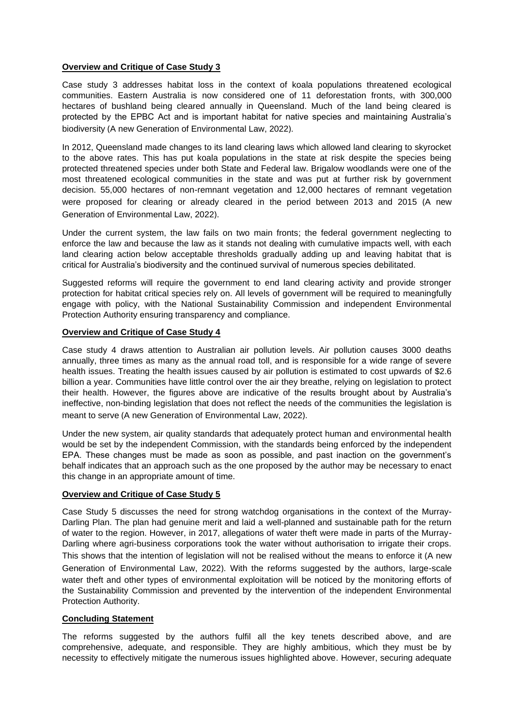#### **Overview and Critique of Case Study 3**

Case study 3 addresses habitat loss in the context of koala populations threatened ecological communities. Eastern Australia is now considered one of 11 deforestation fronts, with 300,000 hectares of bushland being cleared annually in Queensland. Much of the land being cleared is protected by the EPBC Act and is important habitat for native species and maintaining Australia's biodiversity (A new Generation of Environmental Law, 2022).

In 2012, Queensland made changes to its land clearing laws which allowed land clearing to skyrocket to the above rates. This has put koala populations in the state at risk despite the species being protected threatened species under both State and Federal law. Brigalow woodlands were one of the most threatened ecological communities in the state and was put at further risk by government decision. 55,000 hectares of non-remnant vegetation and 12,000 hectares of remnant vegetation were proposed for clearing or already cleared in the period between 2013 and 2015 (A new Generation of Environmental Law, 2022).

Under the current system, the law fails on two main fronts; the federal government neglecting to enforce the law and because the law as it stands not dealing with cumulative impacts well, with each land clearing action below acceptable thresholds gradually adding up and leaving habitat that is critical for Australia's biodiversity and the continued survival of numerous species debilitated.

Suggested reforms will require the government to end land clearing activity and provide stronger protection for habitat critical species rely on. All levels of government will be required to meaningfully engage with policy, with the National Sustainability Commission and independent Environmental Protection Authority ensuring transparency and compliance.

#### **Overview and Critique of Case Study 4**

Case study 4 draws attention to Australian air pollution levels. Air pollution causes 3000 deaths annually, three times as many as the annual road toll, and is responsible for a wide range of severe health issues. Treating the health issues caused by air pollution is estimated to cost upwards of \$2.6 billion a year. Communities have little control over the air they breathe, relying on legislation to protect their health. However, the figures above are indicative of the results brought about by Australia's ineffective, non-binding legislation that does not reflect the needs of the communities the legislation is meant to serve (A new Generation of Environmental Law, 2022).

Under the new system, air quality standards that adequately protect human and environmental health would be set by the independent Commission, with the standards being enforced by the independent EPA. These changes must be made as soon as possible, and past inaction on the government's behalf indicates that an approach such as the one proposed by the author may be necessary to enact this change in an appropriate amount of time.

## **Overview and Critique of Case Study 5**

Case Study 5 discusses the need for strong watchdog organisations in the context of the Murray-Darling Plan. The plan had genuine merit and laid a well-planned and sustainable path for the return of water to the region. However, in 2017, allegations of water theft were made in parts of the Murray-Darling where agri-business corporations took the water without authorisation to irrigate their crops. This shows that the intention of legislation will not be realised without the means to enforce it (A new Generation of Environmental Law, 2022). With the reforms suggested by the authors, large-scale water theft and other types of environmental exploitation will be noticed by the monitoring efforts of the Sustainability Commission and prevented by the intervention of the independent Environmental Protection Authority.

## **Concluding Statement**

The reforms suggested by the authors fulfil all the key tenets described above, and are comprehensive, adequate, and responsible. They are highly ambitious, which they must be by necessity to effectively mitigate the numerous issues highlighted above. However, securing adequate